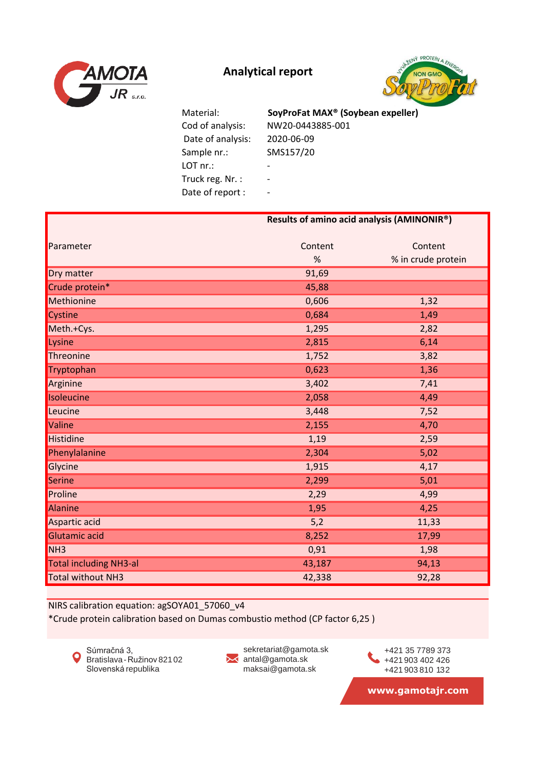



 Date of analysis: 2020-06-09 Sample nr.: SMS157/20 LOT nr.: Particular LOT nr.: Truck reg. Nr. : -Date of report : -

 Cod of analysis: NW20-0443885-001 Material: **SoyProFat MAX® (Soybean expeller)**

|                               | Results of amino acid analysis (AMINONIR <sup>®</sup> ) |                    |  |
|-------------------------------|---------------------------------------------------------|--------------------|--|
|                               |                                                         |                    |  |
| Parameter                     | Content                                                 | Content            |  |
|                               | %                                                       | % in crude protein |  |
| Dry matter                    | 91,69                                                   |                    |  |
| Crude protein*                | 45,88                                                   |                    |  |
| Methionine                    | 0,606                                                   | 1,32               |  |
| Cystine                       | 0,684                                                   | 1,49               |  |
| Meth.+Cys.                    | 1,295                                                   | 2,82               |  |
| Lysine                        | 2,815                                                   | 6,14               |  |
| Threonine                     | 1,752                                                   | 3,82               |  |
| Tryptophan                    | 0,623                                                   | 1,36               |  |
| Arginine                      | 3,402                                                   | 7,41               |  |
| Isoleucine                    | 2,058                                                   | 4,49               |  |
| Leucine                       | 3,448                                                   | 7,52               |  |
| Valine                        | 2,155                                                   | 4,70               |  |
| <b>Histidine</b>              | 1,19                                                    | 2,59               |  |
| Phenylalanine                 | 2,304                                                   | 5,02               |  |
| Glycine                       | 1,915                                                   | 4,17               |  |
| Serine                        | 2,299                                                   | 5,01               |  |
| Proline                       | 2,29                                                    | 4,99               |  |
| Alanine                       | 1,95                                                    | 4,25               |  |
| Aspartic acid                 | 5,2                                                     | 11,33              |  |
| Glutamic acid                 | 8,252                                                   | 17,99              |  |
| NH <sub>3</sub>               | 0,91                                                    | 1,98               |  |
| <b>Total including NH3-al</b> | 43,187                                                  | 94,13              |  |
| <b>Total without NH3</b>      | 42,338                                                  | 92,28              |  |

NIRS calibration equation: agSOYA01\_57060\_v4

\*Crude protein calibration based on Dumas combustio method (CP factor 6,25 )



sekretariat@gamota.sk ✕ antal@gamota.sk maksai@gamota.sk

+421 903 402 426 +421 903 810 132 +421 35 7789 373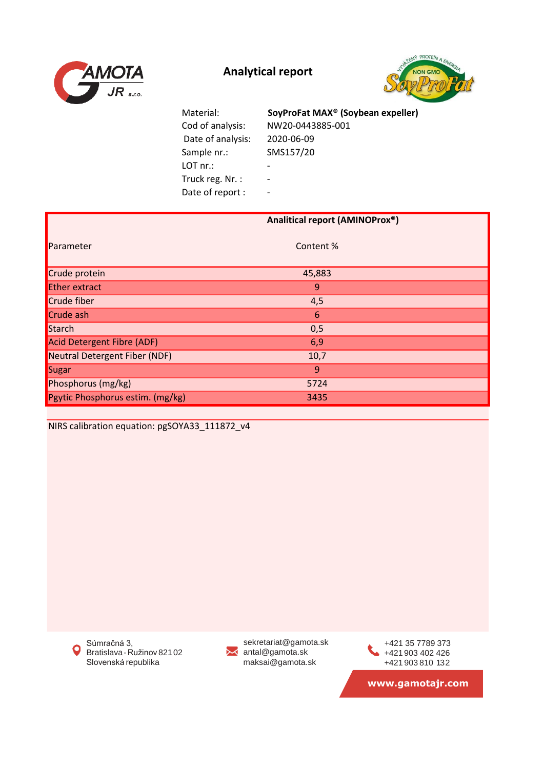



| Material:         | SoyProFat MAX <sup>®</sup> (Soybean expeller) |
|-------------------|-----------------------------------------------|
| Cod of analysis:  | NW20-0443885-001                              |
| Date of analysis: | 2020-06-09                                    |
| Sample nr.:       | SMS157/20                                     |
| LOT nr.           | $\overline{\phantom{a}}$                      |
| Truck reg. Nr.:   | $\overline{\phantom{a}}$                      |
| Date of report :  | $\overline{\phantom{a}}$                      |

|                                  | Analitical report (AMINOProx®) |
|----------------------------------|--------------------------------|
| Parameter                        | Content %                      |
| Crude protein                    | 45,883                         |
| <b>Ether extract</b>             | 9                              |
| Crude fiber                      | 4,5                            |
| Crude ash                        | 6                              |
| Starch                           | 0,5                            |
| Acid Detergent Fibre (ADF)       | 6,9                            |
| Neutral Detergent Fiber (NDF)    | 10,7                           |
| Sugar                            | 9                              |
| Phosphorus (mg/kg)               | 5724                           |
| Pgytic Phosphorus estim. (mg/kg) | 3435                           |

NIRS calibration equation: pgSOYA33\_111872\_v4

Súmračná 3,  $\bullet$ Bratislava-Ružinov 82102 Slovenská republika

sekretariat@gamota.sk antal@gamota.sk maksai@gamota.sk

+421 903 402 426 +421 903 810 132 +421 35 7789 373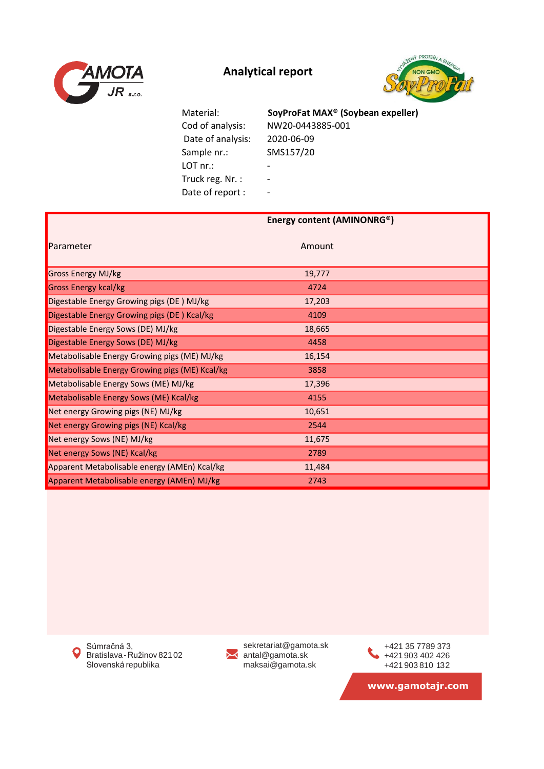



 Cod of analysis: NW20-0443885-001 Date of analysis: 2020-06-09 Sample nr.: SMS157/20 LOT nr.: Particular LOT nr.: Truck reg. Nr. : -Date of report : -

Material: **SoyProFat MAX® (Soybean expeller)**

|                                                | Energy content (AMINONRG®) |  |
|------------------------------------------------|----------------------------|--|
|                                                |                            |  |
| Parameter                                      | Amount                     |  |
|                                                |                            |  |
| Gross Energy MJ/kg                             | 19,777                     |  |
| <b>Gross Energy kcal/kg</b>                    | 4724                       |  |
| Digestable Energy Growing pigs (DE) MJ/kg      | 17,203                     |  |
| Digestable Energy Growing pigs (DE) Kcal/kg    | 4109                       |  |
| Digestable Energy Sows (DE) MJ/kg              | 18,665                     |  |
| Digestable Energy Sows (DE) MJ/kg              | 4458                       |  |
| Metabolisable Energy Growing pigs (ME) MJ/kg   | 16,154                     |  |
| Metabolisable Energy Growing pigs (ME) Kcal/kg | 3858                       |  |
| Metabolisable Energy Sows (ME) MJ/kg           | 17,396                     |  |
| Metabolisable Energy Sows (ME) Kcal/kg         | 4155                       |  |
| Net energy Growing pigs (NE) MJ/kg             | 10,651                     |  |
| Net energy Growing pigs (NE) Kcal/kg           | 2544                       |  |
| Net energy Sows (NE) MJ/kg                     | 11,675                     |  |
| Net energy Sows (NE) Kcal/kg                   | 2789                       |  |
| Apparent Metabolisable energy (AMEn) Kcal/kg   | 11,484                     |  |
| Apparent Metabolisable energy (AMEn) MJ/kg     | 2743                       |  |

Súmračná 3,  $\bullet$ Bratislava-Ružinov 82102 Slovenská republika



sekretariat@gamota.sk antal@gamota.sk maksai@gamota.sk

+421 903 402 426 +421 903 810 132 +421 35 7789 373